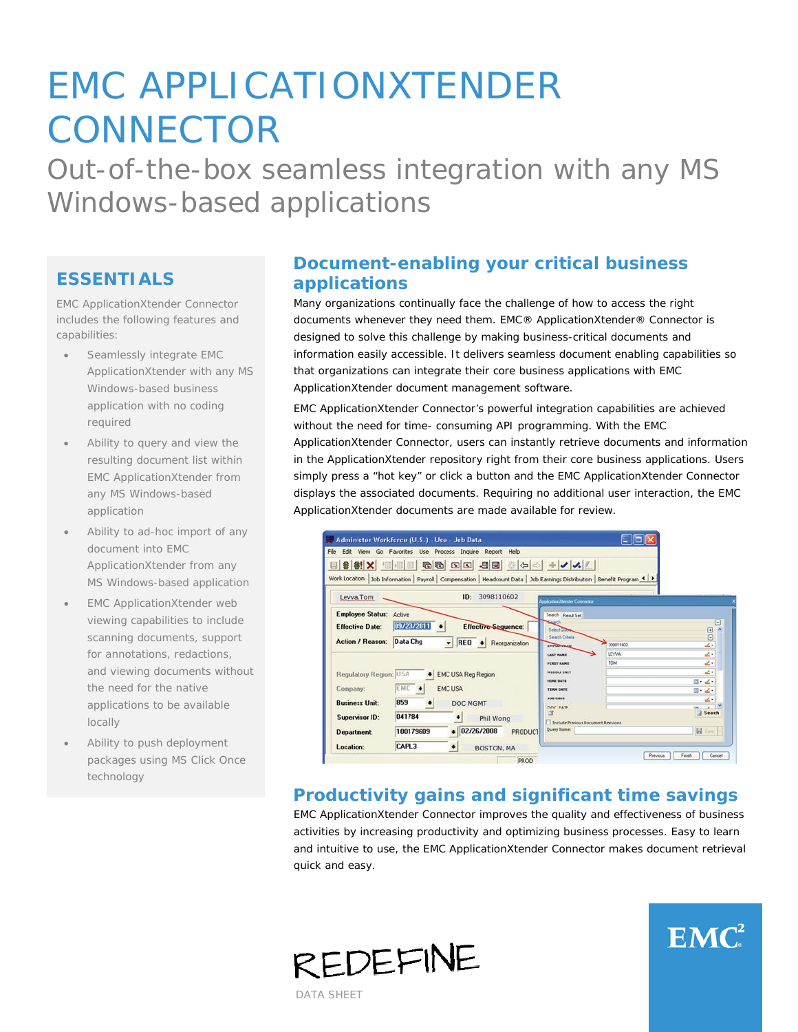# EMC APPLICATIONXTENDER **CONNECTOR**

Out-of-the-box seamless integration with any MS Windows-based applications

#### **ESSENTIALS**

EMC ApplicationXtender Connector includes the following features and capabilities:

- Seamlessly integrate EMC ApplicationXtender with any MS Windows-based business application with no coding required
- Ability to query and view the resulting document list within EMC ApplicationXtender from any MS Windows-based application
- Ability to ad-hoc import of any document into EMC ApplicationXtender from any MS Windows-based application
- **EMC ApplicationXtender web** viewing capabilities to include scanning documents, support for annotations, redactions, and viewing documents without the need for the native applications to be available locally
- Ability to push deployment packages using MS Click Once technology

# **Document-enabling your critical business applications**

Many organizations continually face the challenge of how to access the right documents whenever they need them. EMC® ApplicationXtender® Connector is designed to solve this challenge by making business-critical documents and information easily accessible. It delivers seamless document enabling capabilities so that organizations can integrate their core business applications with EMC ApplicationXtender document management software.

EMC ApplicationXtender Connector's powerful integration capabilities are achieved without the need for time- consuming API programming. With the EMC ApplicationXtender Connector, users can instantly retrieve documents and information in the ApplicationXtender repository right from their core business applications. Users simply press a "hot key" or click a button and the EMC ApplicationXtender Connector displays the associated documents. Requiring no additional user interaction, the EMC ApplicationXtender documents are made available for review.

| File Edit View Go Favorites Use Process Inquire Report Help                                                                                                                                                                                                             |                                                                                                                                                                                                          |                                                            |
|-------------------------------------------------------------------------------------------------------------------------------------------------------------------------------------------------------------------------------------------------------------------------|----------------------------------------------------------------------------------------------------------------------------------------------------------------------------------------------------------|------------------------------------------------------------|
| H \$ # X H H & & D D B B + Y X /<br>Work Location   Job Information   Payroll   Compensation   Headcount Data   Job Earnings Distribution   Benefit Program 4   >                                                                                                       |                                                                                                                                                                                                          |                                                            |
| ID: 3098110602<br>Levva, Tom                                                                                                                                                                                                                                            | <b>Igglication/Gender Connector</b>                                                                                                                                                                      |                                                            |
| <b>Employee Status: Active</b><br>09/23/2011 •<br><b>Effective Date:</b><br><b>Effective Sequence:</b><br>Action / Reason: Data Chg<br>$\overline{\phantom{a}}$<br>REO . Reorganization                                                                                 | Search Result Set<br>Select Dome<br>Search Ciberia<br>309811602<br>EMPLOYES.TO                                                                                                                           | Θ<br>$\begin{bmatrix} 1 & 0 \\ 0 & 0 \end{bmatrix}$        |
| <b>Regulatory Region: USA</b><br><b>EMC USA Reg Region</b><br>EMC +<br><b>EMCUSA</b><br>Company:<br>859<br><b>Business Unit:</b><br>DOC MGMT<br>041784<br><b>Supervisor ID:</b><br>٠<br>Phil Wong<br>$\bullet$ 02/26/2008<br>100179609<br>PRODUCT<br><b>Department:</b> | LEYVA<br><b>LAST NAME</b><br>TOM<br><b>FIRST NAME</b><br><b>MIDDLE INIT</b><br><b>HIRE DATE</b><br><b>TERM DATE</b><br><b>JOB CODE</b><br>DOC DATE<br>Include Previous Document Revisions<br>Query Name: | z.<br>z.<br>2.<br>四、之。<br>$-1$<br>٠<br>Search<br>W Save  - |

## **Productivity gains and significant time savings**

EMC ApplicationXtender Connector improves the quality and effectiveness of business activities by increasing productivity and optimizing business processes. Easy to learn and intuitive to use, the EMC ApplicationXtender Connector makes document retrieval quick and easy.



DATA SHEET

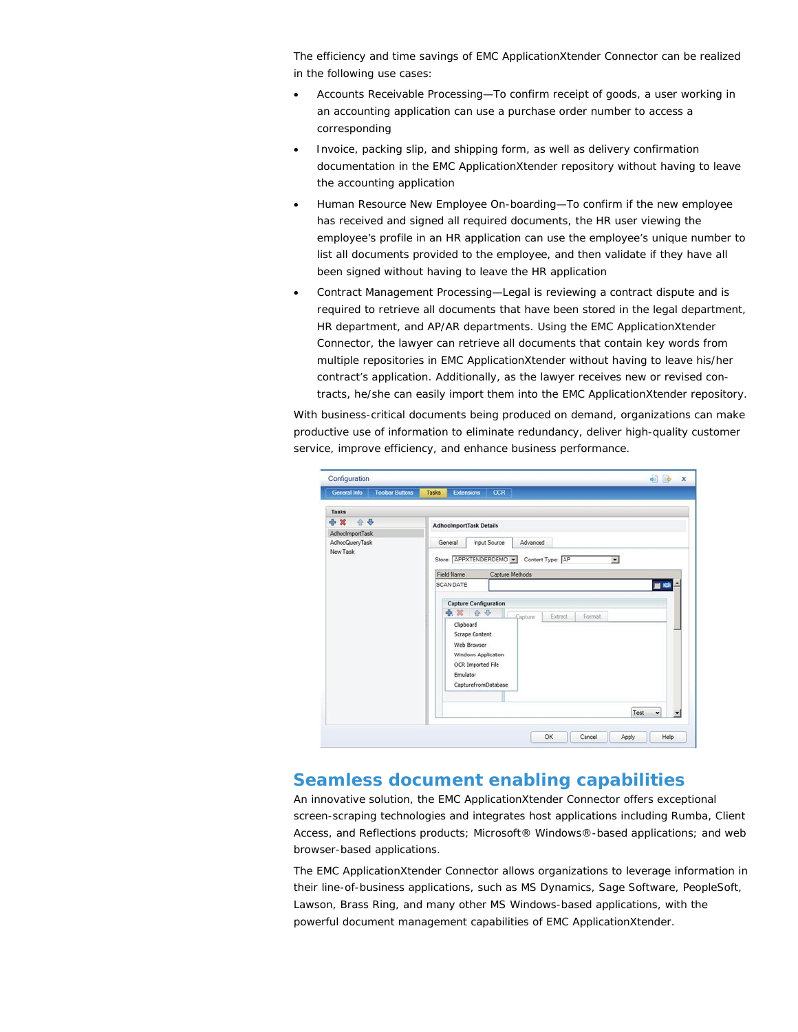The efficiency and time savings of EMC ApplicationXtender Connector can be realized in the following use cases:

- Accounts Receivable Processing—To confirm receipt of goods, a user working in an accounting application can use a purchase order number to access a corresponding
- Invoice, packing slip, and shipping form, as well as delivery confirmation documentation in the EMC ApplicationXtender repository without having to leave the accounting application
- Human Resource New Employee On-boarding—To confirm if the new employee has received and signed all required documents, the HR user viewing the employee's profile in an HR application can use the employee's unique number to list all documents provided to the employee, and then validate if they have all been signed without having to leave the HR application
- Contract Management Processing—Legal is reviewing a contract dispute and is required to retrieve all documents that have been stored in the legal department, HR department, and AP/AR departments. Using the EMC ApplicationXtender Connector, the lawyer can retrieve all documents that contain key words from multiple repositories in EMC ApplicationXtender without having to leave his/her contract's application. Additionally, as the lawyer receives new or revised contracts, he/she can easily import them into the EMC ApplicationXtender repository.

With business-critical documents being produced on demand, organizations can make productive use of information to eliminate redundancy, deliver high-quality customer service, improve efficiency, and enhance business performance.



#### **Seamless document enabling capabilities**

An innovative solution, the EMC ApplicationXtender Connector offers exceptional screen-scraping technologies and integrates host applications including Rumba, Client Access, and Reflections products; Microsoft® Windows®-based applications; and web browser-based applications.

The EMC ApplicationXtender Connector allows organizations to leverage information in their line-of-business applications, such as MS Dynamics, Sage Software, PeopleSoft, Lawson, Brass Ring, and many other MS Windows-based applications, with the powerful document management capabilities of EMC ApplicationXtender.